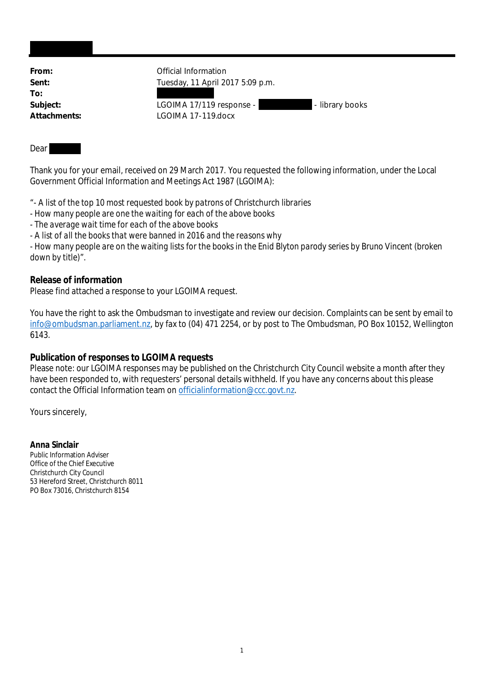| From:        | Official Information                        |
|--------------|---------------------------------------------|
| Sent:        | Tuesday, 11 April 2017 5:09 p.m.            |
| To:          |                                             |
| Subject:     | LGOIMA 17/119 response -<br>- library books |
| Attachments: | LGOIMA 17-119.docx                          |
|              |                                             |
|              |                                             |

#### Dear

Thank you for your email, received on 29 March 2017. You requested the following information, under the Local Government Official Information and Meetings Act 1987 (LGOIMA):

"*- A list of the top 10 most requested book by patrons of Christchurch libraries*

*- How many people are one the waiting for each of the above books*

*- The average wait time for each of the above books*

*- A list of all the books that were banned in 2016 and the reasons why*

*- How many people are on the waiting lists for the books in the Enid Blyton parody series by Bruno Vincent (broken down by title)*".

### **Release of information**

Please find attached a response to your LGOIMA request.

You have the right to ask the Ombudsman to investigate and review our decision. Complaints can be sent by email to info@ombudsman.parliament.nz, by fax to (04) 471 2254, or by post to The Ombudsman, PO Box 10152, Wellington 6143.

# **Publication of responses to LGOIMA requests**

Please note: our LGOIMA responses may be published on the Christchurch City Council website a month after they have been responded to, with requesters' personal details withheld. If you have any concerns about this please contact the Official Information team on officialinformation@ccc.govt.nz.

Yours sincerely,

**Anna Sinclair** Public Information Adviser Office of the Chief Executive Christchurch City Council 53 Hereford Street, Christchurch 8011 PO Box 73016, Christchurch 8154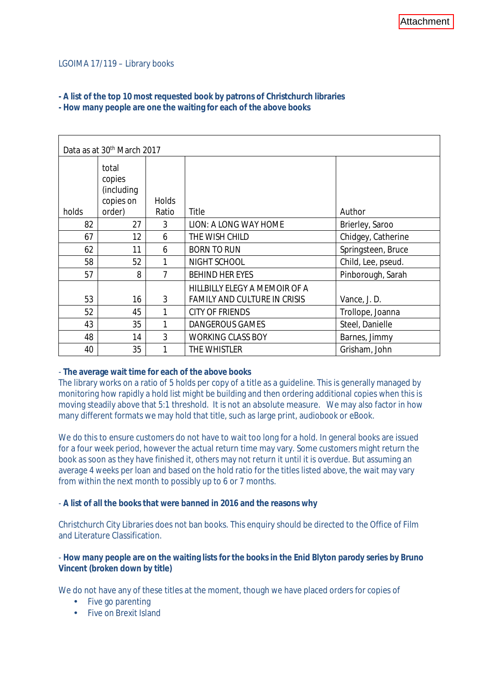### LGOIMA 17/119 – Library books

# **- A list of the top 10 most requested book by patrons of Christchurch libraries**

**- How many people are one the waiting for each of the above books**

| Data as at 30 <sup>th</sup> March 2017 |                                            |              |                                                                      |                    |  |
|----------------------------------------|--------------------------------------------|--------------|----------------------------------------------------------------------|--------------------|--|
|                                        | total<br>copies<br>(including<br>copies on | <b>Holds</b> |                                                                      |                    |  |
| holds                                  | order)                                     | Ratio        | Title                                                                | Author             |  |
| 82                                     | 27                                         | 3            | LION: A LONG WAY HOME                                                | Brierley, Saroo    |  |
| 67                                     | 12                                         | 6            | THE WISH CHILD                                                       | Chidgey, Catherine |  |
| 62                                     | 11                                         | 6            | <b>BORN TO RUN</b>                                                   | Springsteen, Bruce |  |
| 58                                     | 52                                         |              | NIGHT SCHOOL                                                         | Child, Lee, pseud. |  |
| 57                                     | 8                                          | 7            | <b>BEHIND HER EYES</b>                                               | Pinborough, Sarah  |  |
| 53                                     | 16                                         | 3            | HILLBILLY ELEGY A MEMOIR OF A<br><b>FAMILY AND CULTURE IN CRISIS</b> | Vance, J. D.       |  |
| 52                                     | 45                                         |              | <b>CITY OF FRIENDS</b>                                               | Trollope, Joanna   |  |
| 43                                     | 35                                         | 1            | <b>DANGEROUS GAMES</b>                                               | Steel, Danielle    |  |
| 48                                     | 14                                         | 3            | <b>WORKING CLASS BOY</b>                                             | Barnes, Jimmy      |  |
| 40                                     | 35                                         |              | THE WHISTLER                                                         | Grisham, John      |  |

- **The average wait time for each of the above books**

The library works on a ratio of 5 holds per copy of a title as a guideline. This is generally managed by monitoring how rapidly a hold list might be building and then ordering additional copies when this is moving steadily above that 5:1 threshold. It is not an absolute measure. We may also factor in how many different formats we may hold that title, such as large print, audiobook or eBook.

We do this to ensure customers do not have to wait too long for a hold. In general books are issued for a four week period, however the actual return time may vary. Some customers might return the book as soon as they have finished it, others may not return it until it is overdue. But assuming an average 4 weeks per loan and based on the hold ratio for the titles listed above, the wait may vary from within the next month to possibly up to 6 or 7 months.

- **A list of all the books that were banned in 2016 and the reasons why**

Christchurch City Libraries does not ban books. This enquiry should be directed to the Office of Film and Literature Classification.

- **How many people are on the waiting lists for the books in the Enid Blyton parody series by Bruno Vincent (broken down by title)**

We do not have any of these titles at the moment, though we have placed orders for copies of

- $\cdot$  Five go parenting
- Five on Brexit Island